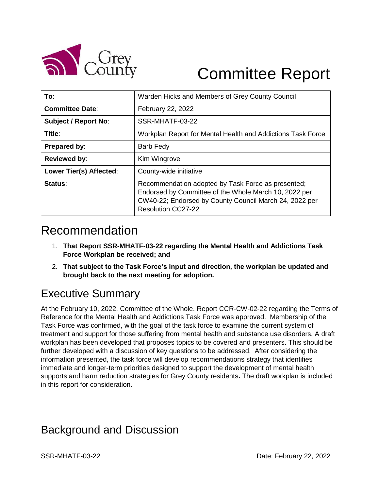

# Committee Report

| To:                         | Warden Hicks and Members of Grey County Council                                                                                                                                                    |
|-----------------------------|----------------------------------------------------------------------------------------------------------------------------------------------------------------------------------------------------|
| <b>Committee Date:</b>      | February 22, 2022                                                                                                                                                                                  |
| <b>Subject / Report No:</b> | SSR-MHATF-03-22                                                                                                                                                                                    |
| Title:                      | Workplan Report for Mental Health and Addictions Task Force                                                                                                                                        |
| Prepared by:                | Barb Fedy                                                                                                                                                                                          |
| <b>Reviewed by:</b>         | Kim Wingrove                                                                                                                                                                                       |
| Lower Tier(s) Affected:     | County-wide initiative                                                                                                                                                                             |
| Status:                     | Recommendation adopted by Task Force as presented;<br>Endorsed by Committee of the Whole March 10, 2022 per<br>CW40-22; Endorsed by County Council March 24, 2022 per<br><b>Resolution CC27-22</b> |

### Recommendation

- 1. **That Report SSR-MHATF-03-22 regarding the Mental Health and Addictions Task Force Workplan be received; and**
- 2. **That subject to the Task Force's input and direction, the workplan be updated and brought back to the next meeting for adoption.**

## Executive Summary

At the February 10, 2022, Committee of the Whole, Report CCR-CW-02-22 regarding the Terms of Reference for the Mental Health and Addictions Task Force was approved. Membership of the Task Force was confirmed, with the goal of the task force to examine the current system of treatment and support for those suffering from mental health and substance use disorders. A draft workplan has been developed that proposes topics to be covered and presenters. This should be further developed with a discussion of key questions to be addressed. After considering the information presented, the task force will develop recommendations strategy that identifies immediate and longer-term priorities designed to support the development of mental health supports and harm reduction strategies for Grey County residents**.** The draft workplan is included in this report for consideration.

### Background and Discussion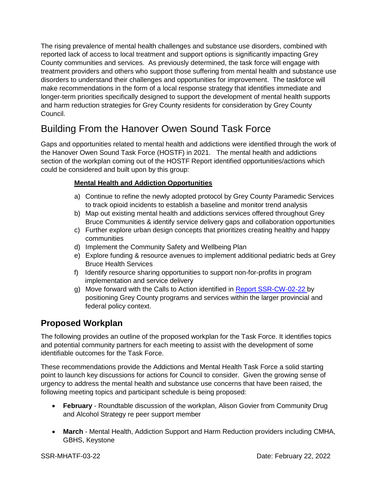The rising prevalence of mental health challenges and substance use disorders, combined with reported lack of access to local treatment and support options is significantly impacting Grey County communities and services. As previously determined, the task force will engage with treatment providers and others who support those suffering from mental health and substance use disorders to understand their challenges and opportunities for improvement. The taskforce will make recommendations in the form of a local response strategy that identifies immediate and longer-term priorities specifically designed to support the development of mental health supports and harm reduction strategies for Grey County residents for consideration by Grey County Council.

### Building From the Hanover Owen Sound Task Force

Gaps and opportunities related to mental health and addictions were identified through the work of the Hanover Owen Sound Task Force (HOSTF) in 2021. The mental health and addictions section of the workplan coming out of the HOSTF Report identified opportunities/actions which could be considered and built upon by this group:

#### **Mental Health and Addiction Opportunities**

- a) Continue to refine the newly adopted protocol by Grey County Paramedic Services to track opioid incidents to establish a baseline and monitor trend analysis
- b) Map out existing mental health and addictions services offered throughout Grey Bruce Communities & identify service delivery gaps and collaboration opportunities
- c) Further explore urban design concepts that prioritizes creating healthy and happy communities
- d) Implement the Community Safety and Wellbeing Plan
- e) Explore funding & resource avenues to implement additional pediatric beds at Grey Bruce Health Services
- f) Identify resource sharing opportunities to support non-for-profits in program implementation and service delivery
- g) Move forward with the Calls to Action identified in [Report SSR-CW-02-22 b](https://council.grey.ca/meeting/getPDFRendition?documentObjectId=22d9eefd-6bf2-445d-8599-af789ecd5937)y positioning Grey County programs and services within the larger provincial and federal policy context.

#### **Proposed Workplan**

The following provides an outline of the proposed workplan for the Task Force. It identifies topics and potential community partners for each meeting to assist with the development of some identifiable outcomes for the Task Force.

These recommendations provide the Addictions and Mental Health Task Force a solid starting point to launch key discussions for actions for Council to consider. Given the growing sense of urgency to address the mental health and substance use concerns that have been raised, the following meeting topics and participant schedule is being proposed:

- **February** Roundtable discussion of the workplan, Alison Govier from Community Drug and Alcohol Strategy re peer support member
- **March** Mental Health, Addiction Support and Harm Reduction providers including CMHA, GBHS, Keystone